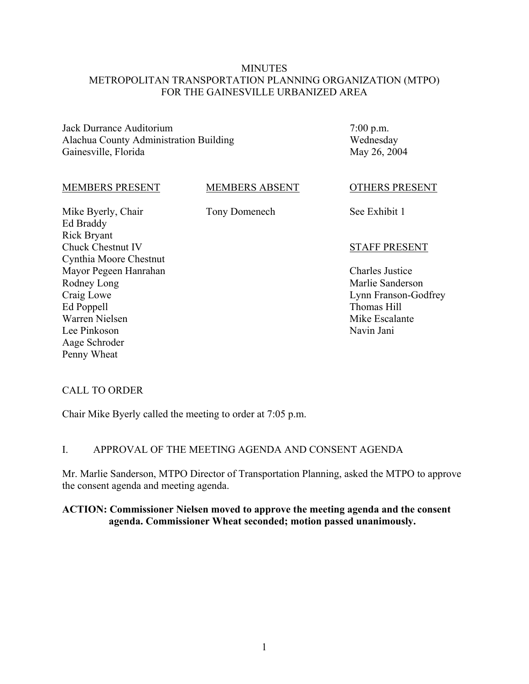### **MINUTES** METROPOLITAN TRANSPORTATION PLANNING ORGANIZATION (MTPO) FOR THE GAINESVILLE URBANIZED AREA

Jack Durrance Auditorium Alachua County Administration Building Gainesville, Florida

7:00 p.m. Wednesday May 26, 2004

#### MEMBERS PRESENT

MEMBERS ABSENT

Tony Domenech

Mike Byerly, Chair Ed Braddy Rick Bryant Chuck Chestnut IV Cynthia Moore Chestnut Mayor Pegeen Hanrahan Rodney Long Craig Lowe Ed Poppell Warren Nielsen Lee Pinkoson Aage Schroder Penny Wheat

OTHERS PRESENT

See Exhibit 1

#### STAFF PRESENT

Charles Justice Marlie Sanderson Lynn Franson-Godfrey Thomas Hill Mike Escalante Navin Jani

### CALL TO ORDER

Chair Mike Byerly called the meeting to order at 7:05 p.m.

### I. APPROVAL OF THE MEETING AGENDA AND CONSENT AGENDA

Mr. Marlie Sanderson, MTPO Director of Transportation Planning, asked the MTPO to approve the consent agenda and meeting agenda.

#### **ACTION: Commissioner Nielsen moved to approve the meeting agenda and the consent agenda. Commissioner Wheat seconded; motion passed unanimously.**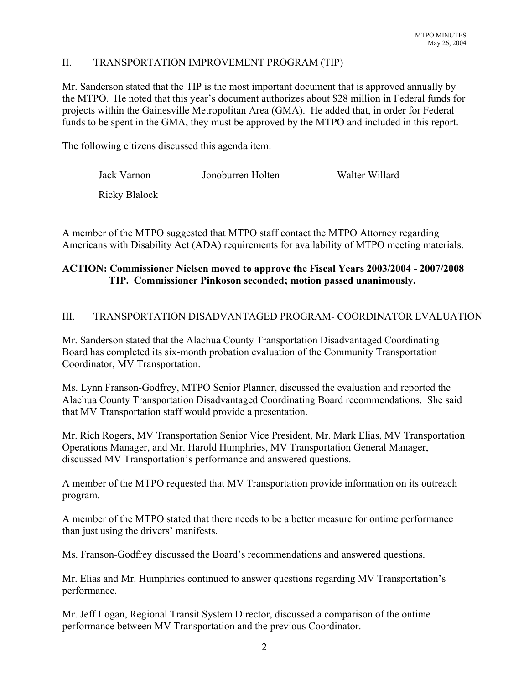## II. TRANSPORTATION IMPROVEMENT PROGRAM (TIP)

Mr. Sanderson stated that the TIP is the most important document that is approved annually by the MTPO. He noted that this year's document authorizes about \$28 million in Federal funds for projects within the Gainesville Metropolitan Area (GMA). He added that, in order for Federal funds to be spent in the GMA, they must be approved by the MTPO and included in this report.

The following citizens discussed this agenda item:

| Jack Varnon   | Jonoburren Holten | Walter Willard |
|---------------|-------------------|----------------|
| Ricky Blalock |                   |                |

A member of the MTPO suggested that MTPO staff contact the MTPO Attorney regarding Americans with Disability Act (ADA) requirements for availability of MTPO meeting materials.

## **ACTION: Commissioner Nielsen moved to approve the Fiscal Years 2003/2004 - 2007/2008 TIP. Commissioner Pinkoson seconded; motion passed unanimously.**

### III. TRANSPORTATION DISADVANTAGED PROGRAM- COORDINATOR EVALUATION

Mr. Sanderson stated that the Alachua County Transportation Disadvantaged Coordinating Board has completed its six-month probation evaluation of the Community Transportation Coordinator, MV Transportation.

Ms. Lynn Franson-Godfrey, MTPO Senior Planner, discussed the evaluation and reported the Alachua County Transportation Disadvantaged Coordinating Board recommendations. She said that MV Transportation staff would provide a presentation.

Mr. Rich Rogers, MV Transportation Senior Vice President, Mr. Mark Elias, MV Transportation Operations Manager, and Mr. Harold Humphries, MV Transportation General Manager, discussed MV Transportation's performance and answered questions.

A member of the MTPO requested that MV Transportation provide information on its outreach program.

A member of the MTPO stated that there needs to be a better measure for ontime performance than just using the drivers' manifests.

Ms. Franson-Godfrey discussed the Board's recommendations and answered questions.

Mr. Elias and Mr. Humphries continued to answer questions regarding MV Transportation's performance.

Mr. Jeff Logan, Regional Transit System Director, discussed a comparison of the ontime performance between MV Transportation and the previous Coordinator.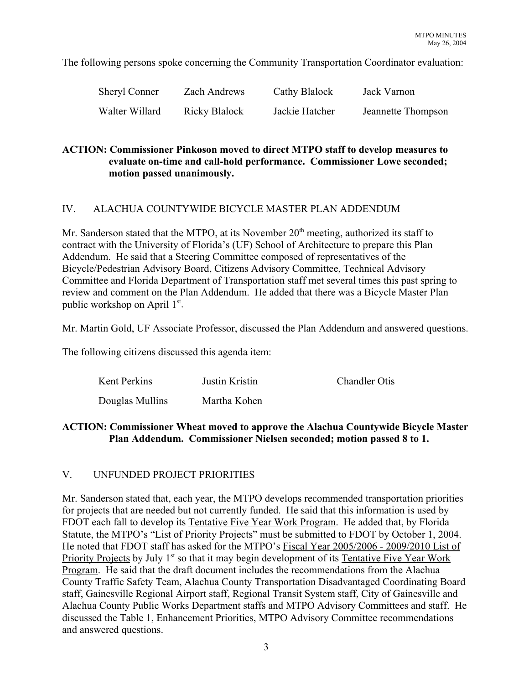The following persons spoke concerning the Community Transportation Coordinator evaluation:

| <b>Sheryl Conner</b> | Zach Andrews  | Cathy Blalock  | Jack Varnon        |
|----------------------|---------------|----------------|--------------------|
| Walter Willard       | Ricky Blalock | Jackie Hatcher | Jeannette Thompson |

## **ACTION: Commissioner Pinkoson moved to direct MTPO staff to develop measures to evaluate on-time and call-hold performance. Commissioner Lowe seconded; motion passed unanimously.**

### IV. ALACHUA COUNTYWIDE BICYCLE MASTER PLAN ADDENDUM

Mr. Sanderson stated that the MTPO, at its November  $20<sup>th</sup>$  meeting, authorized its staff to contract with the University of Florida's (UF) School of Architecture to prepare this Plan Addendum. He said that a Steering Committee composed of representatives of the Bicycle/Pedestrian Advisory Board, Citizens Advisory Committee, Technical Advisory Committee and Florida Department of Transportation staff met several times this past spring to review and comment on the Plan Addendum. He added that there was a Bicycle Master Plan public workshop on April 1st.

Mr. Martin Gold, UF Associate Professor, discussed the Plan Addendum and answered questions.

The following citizens discussed this agenda item:

| Kent Perkins    | Justin Kristin | <b>Chandler Otis</b> |
|-----------------|----------------|----------------------|
| Douglas Mullins | Martha Kohen   |                      |

### **ACTION: Commissioner Wheat moved to approve the Alachua Countywide Bicycle Master Plan Addendum. Commissioner Nielsen seconded; motion passed 8 to 1.**

### V. UNFUNDED PROJECT PRIORITIES

Mr. Sanderson stated that, each year, the MTPO develops recommended transportation priorities for projects that are needed but not currently funded. He said that this information is used by FDOT each fall to develop its Tentative Five Year Work Program. He added that, by Florida Statute, the MTPO's "List of Priority Projects" must be submitted to FDOT by October 1, 2004. He noted that FDOT staff has asked for the MTPO's Fiscal Year 2005/2006 - 2009/2010 List of Priority Projects by July 1<sup>st</sup> so that it may begin development of its Tentative Five Year Work Program. He said that the draft document includes the recommendations from the Alachua County Traffic Safety Team, Alachua County Transportation Disadvantaged Coordinating Board staff, Gainesville Regional Airport staff, Regional Transit System staff, City of Gainesville and Alachua County Public Works Department staffs and MTPO Advisory Committees and staff. He discussed the Table 1, Enhancement Priorities, MTPO Advisory Committee recommendations and answered questions.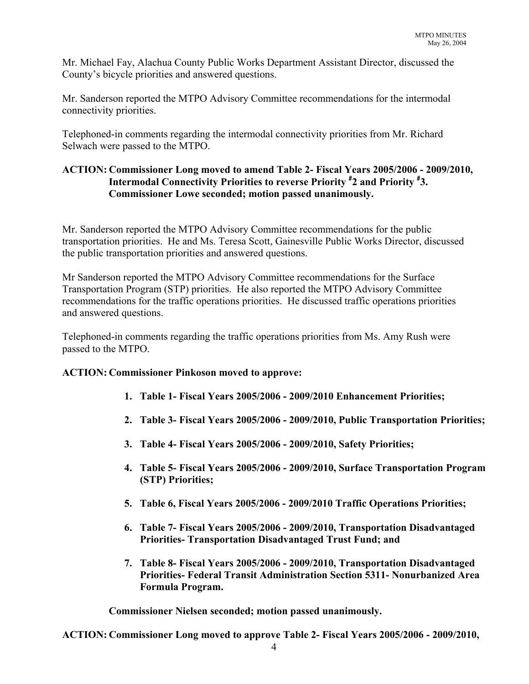Mr. Michael Fay, Alachua County Public Works Department Assistant Director, discussed the County's bicycle priorities and answered questions.

Mr. Sanderson reported the MTPO Advisory Committee recommendations for the intermodal connectivity priorities.

Telephoned-in comments regarding the intermodal connectivity priorities from Mr. Richard Selwach were passed to the MTPO.

## **ACTION: Commissioner Long moved to amend Table 2- Fiscal Years 2005/2006 - 2009/2010, Intermodal Connectivity Priorities to reverse Priority # 2 and Priority # 3. Commissioner Lowe seconded; motion passed unanimously.**

Mr. Sanderson reported the MTPO Advisory Committee recommendations for the public transportation priorities. He and Ms. Teresa Scott, Gainesville Public Works Director, discussed the public transportation priorities and answered questions.

Mr Sanderson reported the MTPO Advisory Committee recommendations for the Surface Transportation Program (STP) priorities. He also reported the MTPO Advisory Committee recommendations for the traffic operations priorities. He discussed traffic operations priorities and answered questions.

Telephoned-in comments regarding the traffic operations priorities from Ms. Amy Rush were passed to the MTPO.

# **ACTION: Commissioner Pinkoson moved to approve:**

- **1. Table 1- Fiscal Years 2005/2006 2009/2010 Enhancement Priorities;**
- **2. Table 3- Fiscal Years 2005/2006 2009/2010, Public Transportation Priorities;**
- **3. Table 4- Fiscal Years 2005/2006 2009/2010, Safety Priorities;**
- **4. Table 5- Fiscal Years 2005/2006 2009/2010, Surface Transportation Program (STP) Priorities;**
- **5. Table 6, Fiscal Years 2005/2006 2009/2010 Traffic Operations Priorities;**
- **6. Table 7- Fiscal Years 2005/2006 2009/2010, Transportation Disadvantaged Priorities- Transportation Disadvantaged Trust Fund; and**
- **7. Table 8- Fiscal Years 2005/2006 2009/2010, Transportation Disadvantaged Priorities- Federal Transit Administration Section 5311- Nonurbanized Area Formula Program.**

**Commissioner Nielsen seconded; motion passed unanimously.**

**ACTION: Commissioner Long moved to approve Table 2- Fiscal Years 2005/2006 - 2009/2010,**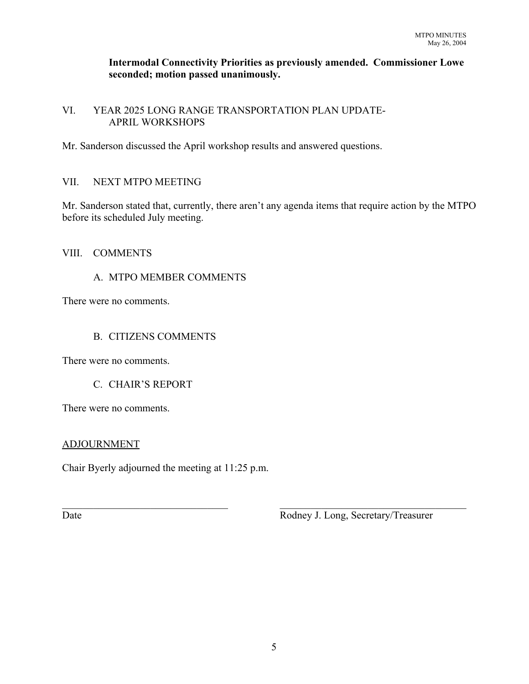### **Intermodal Connectivity Priorities as previously amended. Commissioner Lowe seconded; motion passed unanimously.**

## VI. YEAR 2025 LONG RANGE TRANSPORTATION PLAN UPDATE-APRIL WORKSHOPS

Mr. Sanderson discussed the April workshop results and answered questions.

# VII. NEXT MTPO MEETING

Mr. Sanderson stated that, currently, there aren't any agenda items that require action by the MTPO before its scheduled July meeting.

### VIII. COMMENTS

# A. MTPO MEMBER COMMENTS

There were no comments.

### B. CITIZENS COMMENTS

There were no comments.

### C. CHAIR'S REPORT

There were no comments.

### ADJOURNMENT

Chair Byerly adjourned the meeting at 11:25 p.m.

Date **Date** Rodney J. Long, Secretary/Treasurer

 $\mathcal{L}_\text{max}$  , and the contribution of the contribution of the contribution of the contribution of the contribution of the contribution of the contribution of the contribution of the contribution of the contribution of t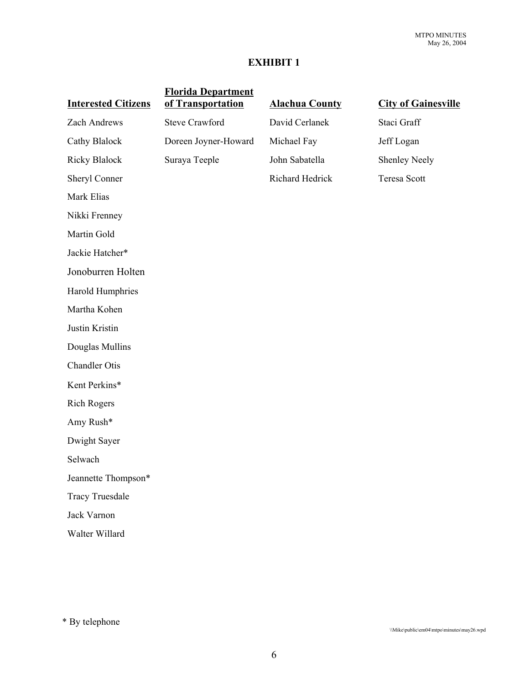### **EXHIBIT 1**

| <b>Florida Department</b><br>of Transportation | <b>Alachua County</b> | <b>City of Gainesville</b> |
|------------------------------------------------|-----------------------|----------------------------|
| <b>Steve Crawford</b>                          | David Cerlanek        | Staci Graff                |
| Doreen Joyner-Howard                           | Michael Fay           | Jeff Logan                 |
| Suraya Teeple                                  | John Sabatella        | <b>Shenley Neely</b>       |
|                                                | Richard Hedrick       | <b>Teresa Scott</b>        |
|                                                |                       |                            |
|                                                |                       |                            |
|                                                |                       |                            |
|                                                |                       |                            |
|                                                |                       |                            |
|                                                |                       |                            |
|                                                |                       |                            |
|                                                |                       |                            |
|                                                |                       |                            |
|                                                |                       |                            |
|                                                |                       |                            |
|                                                |                       |                            |
|                                                |                       |                            |
|                                                |                       |                            |
|                                                |                       |                            |
|                                                |                       |                            |
|                                                |                       |                            |
|                                                |                       |                            |
|                                                |                       |                            |
|                                                |                       |                            |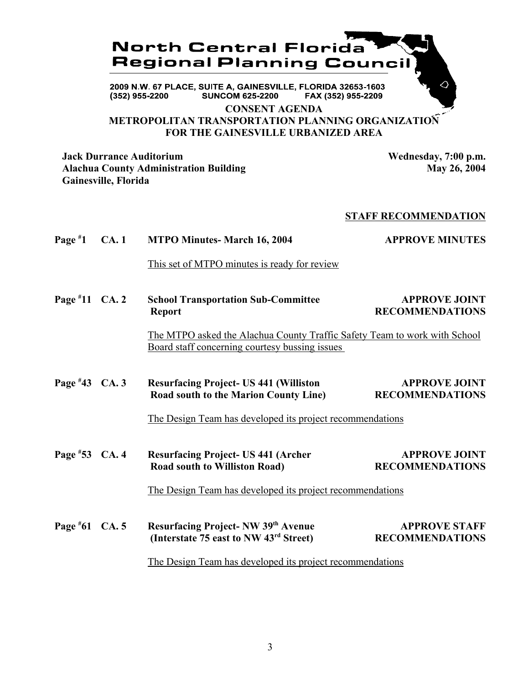

**METROPOLITAN TRANSPORTATION PLANNING ORGANIZATION FOR THE GAINESVILLE URBANIZED AREA**

**Jack Durrance Auditorium Wednesday, 7:00 p.m.** Alachua County Administration Building May 26, 2004 **Gainesville, Florida**

### **STAFF RECOMMENDATION**

| Page $*1$        | <b>CA.1</b> | <b>MTPO Minutes- March 16, 2004</b>                                                                                                                | <b>APPROVE MINUTES</b>                         |
|------------------|-------------|----------------------------------------------------------------------------------------------------------------------------------------------------|------------------------------------------------|
|                  |             | This set of MTPO minutes is ready for review                                                                                                       |                                                |
| Page $*11$ CA. 2 |             | <b>School Transportation Sub-Committee</b><br><b>Report</b>                                                                                        | <b>APPROVE JOINT</b><br><b>RECOMMENDATIONS</b> |
|                  |             | The MTPO asked the Alachua County Traffic Safety Team to work with School<br>Board staff concerning courtesy bussing issues                        |                                                |
| Page $*43$ CA. 3 |             | <b>Resurfacing Project-US 441 (Williston</b><br>Road south to the Marion County Line)<br>The Design Team has developed its project recommendations | <b>APPROVE JOINT</b><br><b>RECOMMENDATIONS</b> |
| Page #53 CA. 4   |             | <b>Resurfacing Project-US 441 (Archer</b><br><b>Road south to Williston Road)</b><br>The Design Team has developed its project recommendations     | <b>APPROVE JOINT</b><br><b>RECOMMENDATIONS</b> |
| Page #61 CA. 5   |             | Resurfacing Project- NW 39th Avenue<br>(Interstate 75 east to NW 43rd Street)                                                                      | <b>APPROVE STAFF</b><br><b>RECOMMENDATIONS</b> |
|                  |             | The Design Team has developed its project recommendations                                                                                          |                                                |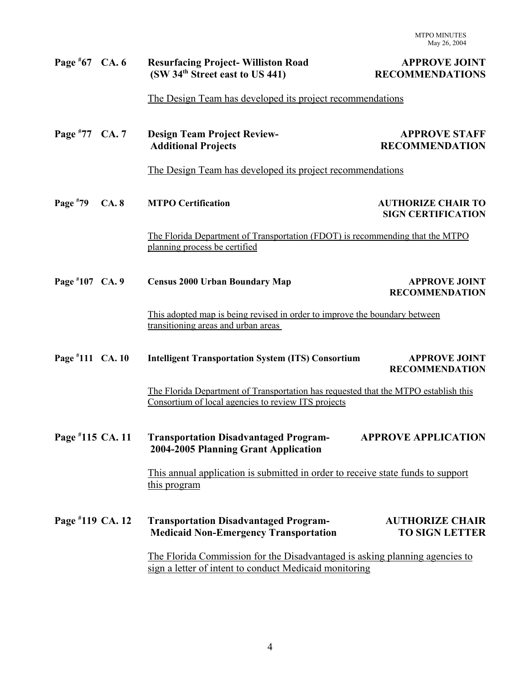| Page $*67$ CA. 6 |      | <b>Resurfacing Project-Williston Road</b><br>(SW 34 <sup>th</sup> Street east to US 441)                                                   | <b>APPROVE JOINT</b><br><b>RECOMMENDATIONS</b>         |  |
|------------------|------|--------------------------------------------------------------------------------------------------------------------------------------------|--------------------------------------------------------|--|
|                  |      | The Design Team has developed its project recommendations                                                                                  |                                                        |  |
| Page #77 CA. 7   |      | <b>Design Team Project Review-</b><br><b>Additional Projects</b>                                                                           | <b>APPROVE STAFF</b><br><b>RECOMMENDATION</b>          |  |
|                  |      | The Design Team has developed its project recommendations                                                                                  |                                                        |  |
| Page #79         | CA.8 | <b>MTPO Certification</b>                                                                                                                  | <b>AUTHORIZE CHAIR TO</b><br><b>SIGN CERTIFICATION</b> |  |
|                  |      | The Florida Department of Transportation (FDOT) is recommending that the MTPO<br>planning process be certified                             |                                                        |  |
| Page #107 CA. 9  |      | <b>Census 2000 Urban Boundary Map</b>                                                                                                      | <b>APPROVE JOINT</b><br><b>RECOMMENDATION</b>          |  |
|                  |      | This adopted map is being revised in order to improve the boundary between<br>transitioning areas and urban areas                          |                                                        |  |
| Page #111 CA. 10 |      | <b>Intelligent Transportation System (ITS) Consortium</b>                                                                                  | <b>APPROVE JOINT</b><br><b>RECOMMENDATION</b>          |  |
|                  |      | The Florida Department of Transportation has requested that the MTPO establish this<br>Consortium of local agencies to review ITS projects |                                                        |  |
| Page #115 CA. 11 |      | <b>Transportation Disadvantaged Program-</b><br>2004-2005 Planning Grant Application                                                       | <b>APPROVE APPLICATION</b>                             |  |
|                  |      | This annual application is submitted in order to receive state funds to support<br>this program                                            |                                                        |  |
| Page #119 CA. 12 |      | <b>Transportation Disadvantaged Program-</b><br><b>Medicaid Non-Emergency Transportation</b>                                               | <b>AUTHORIZE CHAIR</b><br><b>TO SIGN LETTER</b>        |  |
|                  |      | The Florida Commission for the Disadvantaged is asking planning agencies to<br>sign a letter of intent to conduct Medicaid monitoring      |                                                        |  |